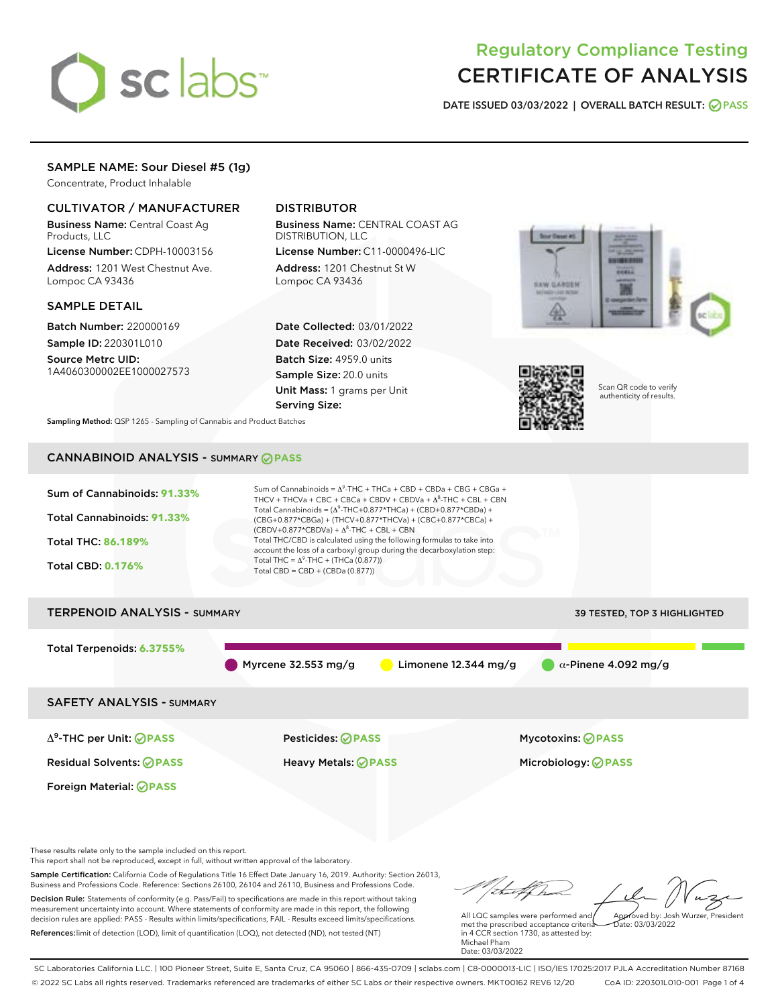# sclabs<sup>\*</sup>

## Regulatory Compliance Testing CERTIFICATE OF ANALYSIS

DATE ISSUED 03/03/2022 | OVERALL BATCH RESULT: @ PASS

#### SAMPLE NAME: Sour Diesel #5 (1g)

Concentrate, Product Inhalable

#### CULTIVATOR / MANUFACTURER

Business Name: Central Coast Ag Products, LLC

License Number: CDPH-10003156 Address: 1201 West Chestnut Ave. Lompoc CA 93436

#### SAMPLE DETAIL

Batch Number: 220000169 Sample ID: 220301L010

Source Metrc UID: 1A4060300002EE1000027573

#### DISTRIBUTOR

Business Name: CENTRAL COAST AG DISTRIBUTION, LLC

License Number: C11-0000496-LIC Address: 1201 Chestnut St W Lompoc CA 93436

Date Collected: 03/01/2022 Date Received: 03/02/2022 Batch Size: 4959.0 units Sample Size: 20.0 units Unit Mass: 1 grams per Unit Serving Size:





Scan QR code to verify authenticity of results.

Sampling Method: QSP 1265 - Sampling of Cannabis and Product Batches

### CANNABINOID ANALYSIS - SUMMARY **PASS**



Decision Rule: Statements of conformity (e.g. Pass/Fail) to specifications are made in this report without taking measurement uncertainty into account. Where statements of conformity are made in this report, the following decision rules are applied: PASS - Results within limits/specifications, FAIL - Results exceed limits/specifications. References:limit of detection (LOD), limit of quantification (LOQ), not detected (ND), not tested (NT)

All LQC samples were performed and met the prescribed acceptance criteria in 4 CCR section 1730, as attested by: Approved by: Josh Wurzer, President  $\frac{1}{2}$ ate: 03/03/2022

Michael Pham Date: 03/03/2022

SC Laboratories California LLC. | 100 Pioneer Street, Suite E, Santa Cruz, CA 95060 | 866-435-0709 | sclabs.com | C8-0000013-LIC | ISO/IES 17025:2017 PJLA Accreditation Number 87168 © 2022 SC Labs all rights reserved. Trademarks referenced are trademarks of either SC Labs or their respective owners. MKT00162 REV6 12/20 CoA ID: 220301L010-001 Page 1 of 4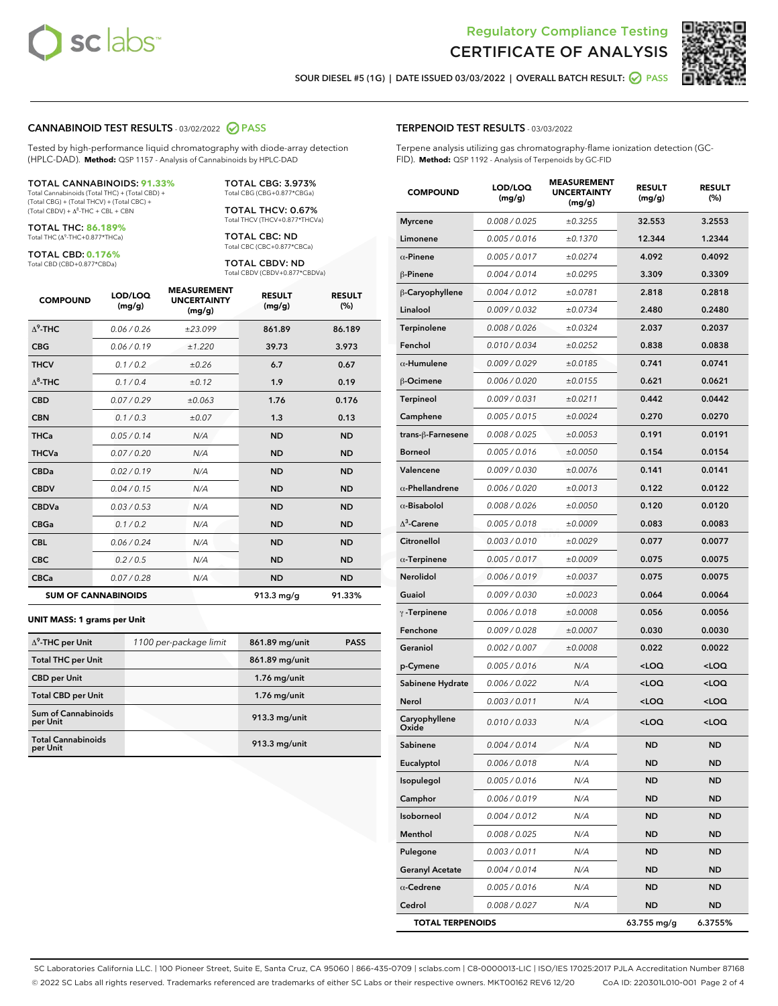



SOUR DIESEL #5 (1G) | DATE ISSUED 03/03/2022 | OVERALL BATCH RESULT: **○** PASS

#### CANNABINOID TEST RESULTS - 03/02/2022 2 PASS

Tested by high-performance liquid chromatography with diode-array detection (HPLC-DAD). **Method:** QSP 1157 - Analysis of Cannabinoids by HPLC-DAD

#### TOTAL CANNABINOIDS: **91.33%**

Total Cannabinoids (Total THC) + (Total CBD) + (Total CBG) + (Total THCV) + (Total CBC) +  $(Total CBDV) +  $\Delta^8$ -THC + CBL + CBN$ 

TOTAL THC: **86.189%** Total THC (Δ<sup>9</sup> -THC+0.877\*THCa)

TOTAL CBD: **0.176%**

Total CBD (CBD+0.877\*CBDa)

TOTAL CBG: 3.973% Total CBG (CBG+0.877\*CBGa)

TOTAL THCV: 0.67% Total THCV (THCV+0.877\*THCVa)

TOTAL CBC: ND Total CBC (CBC+0.877\*CBCa)

TOTAL CBDV: ND Total CBDV (CBDV+0.877\*CBDVa)

| <b>COMPOUND</b>  | LOD/LOQ<br>(mg/g)          | <b>MEASUREMENT</b><br><b>UNCERTAINTY</b><br>(mg/g) | <b>RESULT</b><br>(mg/g) | <b>RESULT</b><br>(%) |
|------------------|----------------------------|----------------------------------------------------|-------------------------|----------------------|
| $\Lambda^9$ -THC | 0.06 / 0.26                | ±23.099                                            | 861.89                  | 86.189               |
| <b>CBG</b>       | 0.06/0.19                  | ±1.220                                             | 39.73                   | 3.973                |
| <b>THCV</b>      | 0.1 / 0.2                  | ±0.26                                              | 6.7                     | 0.67                 |
| $\Delta^8$ -THC  | 0.1/0.4                    | ±0.12                                              | 1.9                     | 0.19                 |
| <b>CBD</b>       | 0.07/0.29                  | ±0.063                                             | 1.76                    | 0.176                |
| <b>CBN</b>       | 0.1/0.3                    | ±0.07                                              | 1.3                     | 0.13                 |
| <b>THCa</b>      | 0.05/0.14                  | N/A                                                | <b>ND</b>               | <b>ND</b>            |
| <b>THCVa</b>     | 0.07/0.20                  | N/A                                                | <b>ND</b>               | <b>ND</b>            |
| <b>CBDa</b>      | 0.02 / 0.19                | N/A                                                | <b>ND</b>               | <b>ND</b>            |
| <b>CBDV</b>      | 0.04 / 0.15                | N/A                                                | <b>ND</b>               | <b>ND</b>            |
| <b>CBDVa</b>     | 0.03/0.53                  | N/A                                                | <b>ND</b>               | <b>ND</b>            |
| <b>CBGa</b>      | 0.1/0.2                    | N/A                                                | <b>ND</b>               | <b>ND</b>            |
| <b>CBL</b>       | 0.06 / 0.24                | N/A                                                | <b>ND</b>               | <b>ND</b>            |
| <b>CBC</b>       | 0.2 / 0.5                  | N/A                                                | <b>ND</b>               | <b>ND</b>            |
| <b>CBCa</b>      | 0.07/0.28                  | N/A                                                | <b>ND</b>               | <b>ND</b>            |
|                  | <b>SUM OF CANNABINOIDS</b> |                                                    | 913.3 mg/g              | 91.33%               |

#### **UNIT MASS: 1 grams per Unit**

| $\Delta^9$ -THC per Unit               | 1100 per-package limit | 861.89 mg/unit | <b>PASS</b> |
|----------------------------------------|------------------------|----------------|-------------|
|                                        |                        |                |             |
| <b>Total THC per Unit</b>              |                        | 861.89 mg/unit |             |
| <b>CBD</b> per Unit                    |                        | $1.76$ mg/unit |             |
| <b>Total CBD per Unit</b>              |                        | $1.76$ mg/unit |             |
| <b>Sum of Cannabinoids</b><br>per Unit |                        | 913.3 mg/unit  |             |
| <b>Total Cannabinoids</b><br>per Unit  |                        | 913.3 mg/unit  |             |

| <b>COMPOUND</b>        | LOD/LOQ<br>(mg/g) | <b>MEASUREMENT</b><br><b>UNCERTAINTY</b><br>(mg/g) | <b>RESULT</b><br>(mg/g)                         | <b>RESULT</b><br>(%) |
|------------------------|-------------------|----------------------------------------------------|-------------------------------------------------|----------------------|
| Myrcene                | 0.008 / 0.025     | ±0.3255                                            | 32.553                                          | 3.2553               |
| Limonene               | 0.005 / 0.016     | ±0.1370                                            | 12.344                                          | 1.2344               |
| $\alpha$ -Pinene       | 0.005 / 0.017     | ±0.0274                                            | 4.092                                           | 0.4092               |
| β-Pinene               | 0.004 / 0.014     | ±0.0295                                            | 3.309                                           | 0.3309               |
| β-Caryophyllene        | 0.004 / 0.012     | ±0.0781                                            | 2.818                                           | 0.2818               |
| Linalool               | 0.009 / 0.032     | ±0.0734                                            | 2.480                                           | 0.2480               |
| Terpinolene            | 0.008 / 0.026     | ±0.0324                                            | 2.037                                           | 0.2037               |
| Fenchol                | 0.010 / 0.034     | ±0.0252                                            | 0.838                                           | 0.0838               |
| $\alpha$ -Humulene     | 0.009 / 0.029     | ±0.0185                                            | 0.741                                           | 0.0741               |
| β-Ocimene              | 0.006 / 0.020     | ±0.0155                                            | 0.621                                           | 0.0621               |
| <b>Terpineol</b>       | 0.009 / 0.031     | ±0.0211                                            | 0.442                                           | 0.0442               |
| Camphene               | 0.005 / 0.015     | ±0.0024                                            | 0.270                                           | 0.0270               |
| trans-β-Farnesene      | 0.008 / 0.025     | ±0.0053                                            | 0.191                                           | 0.0191               |
| Borneol                | 0.005 / 0.016     | ±0.0050                                            | 0.154                                           | 0.0154               |
| Valencene              | 0.009 / 0.030     | ±0.0076                                            | 0.141                                           | 0.0141               |
| $\alpha$ -Phellandrene | 0.006 / 0.020     | ±0.0013                                            | 0.122                                           | 0.0122               |
| $\alpha$ -Bisabolol    | 0.008 / 0.026     | ±0.0050                                            | 0.120                                           | 0.0120               |
| $\Lambda^3$ -Carene    | 0.005 / 0.018     | ±0.0009                                            | 0.083                                           | 0.0083               |
| Citronellol            | 0.003 / 0.010     | ±0.0029                                            | 0.077                                           | 0.0077               |
| $\alpha$ -Terpinene    | 0.005 / 0.017     | ±0.0009                                            | 0.075                                           | 0.0075               |
| Nerolidol              | 0.006 / 0.019     | ±0.0037                                            | 0.075                                           | 0.0075               |
| Guaiol                 | 0.009 / 0.030     | ±0.0023                                            | 0.064                                           | 0.0064               |
| $\gamma$ -Terpinene    | 0.006 / 0.018     | ±0.0008                                            | 0.056                                           | 0.0056               |
| Fenchone               | 0.009 / 0.028     | ±0.0007                                            | 0.030                                           | 0.0030               |
| Geraniol               | 0.002 / 0.007     | ±0.0008                                            | 0.022                                           | 0.0022               |
| p-Cymene               | 0.005 / 0.016     | N/A                                                | <loq< th=""><th><loq< th=""></loq<></th></loq<> | <loq< th=""></loq<>  |
| Sabinene Hydrate       | 0.006 / 0.022     | N/A                                                | <loq< th=""><th><loq< th=""></loq<></th></loq<> | <loq< th=""></loq<>  |
| Nerol                  | 0.003 / 0.011     | N/A                                                | $<$ LOQ                                         | <loq< th=""></loq<>  |
| Caryophyllene<br>Oxide | 0.010 / 0.033     | N/A                                                | <loq< th=""><th><loq< th=""></loq<></th></loq<> | <loq< th=""></loq<>  |
| Sabinene               | 0.004 / 0.014     | N/A                                                | ND                                              | <b>ND</b>            |
| Eucalyptol             | 0.006 / 0.018     | N/A                                                | ND                                              | ND                   |
| Isopulegol             | 0.005 / 0.016     | N/A                                                | ND                                              | <b>ND</b>            |
| Camphor                | 0.006 / 0.019     | N/A                                                | ND                                              | ND                   |
| Isoborneol             | 0.004 / 0.012     | N/A                                                | ND                                              | <b>ND</b>            |
| Menthol                | 0.008 / 0.025     | N/A                                                | ND                                              | ND                   |
| Pulegone               | 0.003 / 0.011     | N/A                                                | ND                                              | ND                   |
| <b>Geranyl Acetate</b> | 0.004 / 0.014     | N/A                                                | ND                                              | <b>ND</b>            |
| $\alpha$ -Cedrene      | 0.005 / 0.016     | N/A                                                | ND                                              | <b>ND</b>            |
| Cedrol                 | 0.008 / 0.027     | N/A                                                | <b>ND</b>                                       | <b>ND</b>            |

TOTAL TERPENOIDS 63.755 mg/g 6.3755%

SC Laboratories California LLC. | 100 Pioneer Street, Suite E, Santa Cruz, CA 95060 | 866-435-0709 | sclabs.com | C8-0000013-LIC | ISO/IES 17025:2017 PJLA Accreditation Number 87168 © 2022 SC Labs all rights reserved. Trademarks referenced are trademarks of either SC Labs or their respective owners. MKT00162 REV6 12/20 CoA ID: 220301L010-001 Page 2 of 4

#### TERPENOID TEST RESULTS - 03/03/2022

Terpene analysis utilizing gas chromatography-flame ionization detection (GC-FID). **Method:** QSP 1192 - Analysis of Terpenoids by GC-FID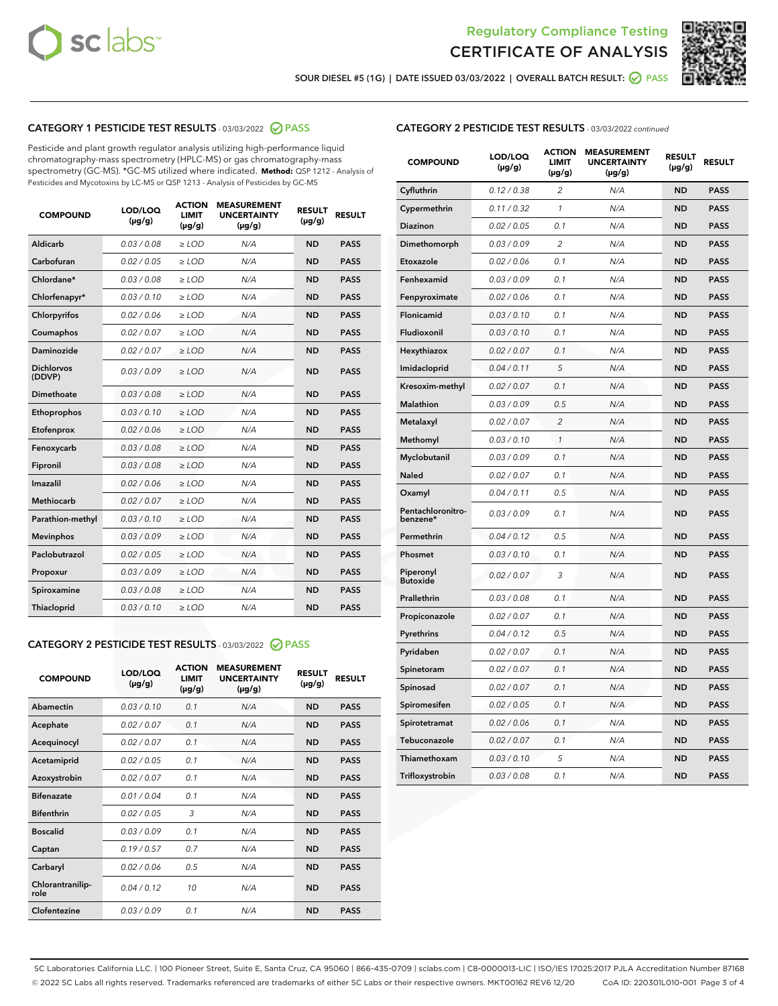



SOUR DIESEL #5 (1G) | DATE ISSUED 03/03/2022 | OVERALL BATCH RESULT: ● PASS

#### CATEGORY 1 PESTICIDE TEST RESULTS - 03/03/2022 2 PASS

Pesticide and plant growth regulator analysis utilizing high-performance liquid chromatography-mass spectrometry (HPLC-MS) or gas chromatography-mass spectrometry (GC-MS). \*GC-MS utilized where indicated. **Method:** QSP 1212 - Analysis of Pesticides and Mycotoxins by LC-MS or QSP 1213 - Analysis of Pesticides by GC-MS

| <b>COMPOUND</b>             | LOD/LOQ<br>$(\mu g/g)$ | <b>ACTION</b><br><b>LIMIT</b><br>$(\mu g/g)$ | <b>MEASUREMENT</b><br><b>UNCERTAINTY</b><br>$(\mu g/g)$ | <b>RESULT</b><br>$(\mu g/g)$ | <b>RESULT</b> |
|-----------------------------|------------------------|----------------------------------------------|---------------------------------------------------------|------------------------------|---------------|
| Aldicarb                    | 0.03 / 0.08            | $\ge$ LOD                                    | N/A                                                     | <b>ND</b>                    | <b>PASS</b>   |
| Carbofuran                  | 0.02 / 0.05            | $\ge$ LOD                                    | N/A                                                     | <b>ND</b>                    | <b>PASS</b>   |
| Chlordane*                  | 0.03 / 0.08            | $\ge$ LOD                                    | N/A                                                     | <b>ND</b>                    | <b>PASS</b>   |
| Chlorfenapyr*               | 0.03/0.10              | $\ge$ LOD                                    | N/A                                                     | <b>ND</b>                    | <b>PASS</b>   |
| Chlorpyrifos                | 0.02/0.06              | $\ge$ LOD                                    | N/A                                                     | <b>ND</b>                    | <b>PASS</b>   |
| Coumaphos                   | 0.02 / 0.07            | $\geq$ LOD                                   | N/A                                                     | <b>ND</b>                    | <b>PASS</b>   |
| Daminozide                  | 0.02 / 0.07            | $>$ LOD                                      | N/A                                                     | <b>ND</b>                    | <b>PASS</b>   |
| <b>Dichlorvos</b><br>(DDVP) | 0.03/0.09              | $\ge$ LOD                                    | N/A                                                     | <b>ND</b>                    | <b>PASS</b>   |
| Dimethoate                  | 0.03/0.08              | $>$ LOD                                      | N/A                                                     | <b>ND</b>                    | <b>PASS</b>   |
| Ethoprophos                 | 0.03/0.10              | $\ge$ LOD                                    | N/A                                                     | <b>ND</b>                    | <b>PASS</b>   |
| Etofenprox                  | 0.02 / 0.06            | $\geq$ LOD                                   | N/A                                                     | <b>ND</b>                    | <b>PASS</b>   |
| Fenoxycarb                  | 0.03/0.08              | $>$ LOD                                      | N/A                                                     | <b>ND</b>                    | <b>PASS</b>   |
| Fipronil                    | 0.03 / 0.08            | $\ge$ LOD                                    | N/A                                                     | <b>ND</b>                    | <b>PASS</b>   |
| Imazalil                    | 0.02 / 0.06            | $>$ LOD                                      | N/A                                                     | <b>ND</b>                    | <b>PASS</b>   |
| <b>Methiocarb</b>           | 0.02 / 0.07            | $\ge$ LOD                                    | N/A                                                     | <b>ND</b>                    | <b>PASS</b>   |
| Parathion-methyl            | 0.03/0.10              | $\geq$ LOD                                   | N/A                                                     | <b>ND</b>                    | <b>PASS</b>   |
| <b>Mevinphos</b>            | 0.03/0.09              | $\ge$ LOD                                    | N/A                                                     | <b>ND</b>                    | <b>PASS</b>   |
| Paclobutrazol               | 0.02 / 0.05            | $\ge$ LOD                                    | N/A                                                     | <b>ND</b>                    | <b>PASS</b>   |
| Propoxur                    | 0.03/0.09              | $\ge$ LOD                                    | N/A                                                     | <b>ND</b>                    | <b>PASS</b>   |
| Spiroxamine                 | 0.03 / 0.08            | $\ge$ LOD                                    | N/A                                                     | <b>ND</b>                    | <b>PASS</b>   |
| Thiacloprid                 | 0.03/0.10              | $>$ LOD                                      | N/A                                                     | <b>ND</b>                    | <b>PASS</b>   |

#### CATEGORY 2 PESTICIDE TEST RESULTS - 03/03/2022 @ PASS

| <b>COMPOUND</b>          | LOD/LOQ<br>$(\mu g/g)$ | <b>ACTION</b><br><b>LIMIT</b><br>$(\mu g/g)$ | <b>MEASUREMENT</b><br><b>UNCERTAINTY</b><br>$(\mu g/g)$ | <b>RESULT</b><br>$(\mu g/g)$ | <b>RESULT</b> |
|--------------------------|------------------------|----------------------------------------------|---------------------------------------------------------|------------------------------|---------------|
| Abamectin                | 0.03/0.10              | 0.1                                          | N/A                                                     | <b>ND</b>                    | <b>PASS</b>   |
| Acephate                 | 0.02/0.07              | 0.1                                          | N/A                                                     | <b>ND</b>                    | <b>PASS</b>   |
| Acequinocyl              | 0.02/0.07              | 0.1                                          | N/A                                                     | <b>ND</b>                    | <b>PASS</b>   |
| Acetamiprid              | 0.02/0.05              | 0.1                                          | N/A                                                     | <b>ND</b>                    | <b>PASS</b>   |
| Azoxystrobin             | 0.02 / 0.07            | 0.1                                          | N/A                                                     | <b>ND</b>                    | <b>PASS</b>   |
| <b>Bifenazate</b>        | 0.01/0.04              | 0.1                                          | N/A                                                     | <b>ND</b>                    | <b>PASS</b>   |
| <b>Bifenthrin</b>        | 0.02/0.05              | 3                                            | N/A                                                     | <b>ND</b>                    | <b>PASS</b>   |
| <b>Boscalid</b>          | 0.03/0.09              | 0.1                                          | N/A                                                     | <b>ND</b>                    | <b>PASS</b>   |
| Captan                   | 0.19/0.57              | 0.7                                          | N/A                                                     | <b>ND</b>                    | <b>PASS</b>   |
| Carbaryl                 | 0.02/0.06              | 0.5                                          | N/A                                                     | <b>ND</b>                    | <b>PASS</b>   |
| Chlorantranilip-<br>role | 0.04/0.12              | 10                                           | N/A                                                     | <b>ND</b>                    | <b>PASS</b>   |
| Clofentezine             | 0.03/0.09              | 0.1                                          | N/A                                                     | <b>ND</b>                    | <b>PASS</b>   |

#### CATEGORY 2 PESTICIDE TEST RESULTS - 03/03/2022 continued

| <b>COMPOUND</b>               | LOD/LOQ<br>(µg/g) | <b>ACTION</b><br><b>LIMIT</b><br>(µg/g) | <b>MEASUREMENT</b><br><b>UNCERTAINTY</b><br>(µg/g) | <b>RESULT</b><br>(µg/g) | <b>RESULT</b> |
|-------------------------------|-------------------|-----------------------------------------|----------------------------------------------------|-------------------------|---------------|
| Cyfluthrin                    | 0.12 / 0.38       | $\overline{c}$                          | N/A                                                | <b>ND</b>               | <b>PASS</b>   |
| Cypermethrin                  | 0.11/0.32         | $\mathcal{I}$                           | N/A                                                | <b>ND</b>               | <b>PASS</b>   |
| <b>Diazinon</b>               | 0.02 / 0.05       | 0.1                                     | N/A                                                | <b>ND</b>               | <b>PASS</b>   |
| Dimethomorph                  | 0.03 / 0.09       | 2                                       | N/A                                                | ND                      | <b>PASS</b>   |
| Etoxazole                     | 0.02 / 0.06       | 0.1                                     | N/A                                                | <b>ND</b>               | <b>PASS</b>   |
| Fenhexamid                    | 0.03/0.09         | 0.1                                     | N/A                                                | <b>ND</b>               | <b>PASS</b>   |
| Fenpyroximate                 | 0.02 / 0.06       | 0.1                                     | N/A                                                | <b>ND</b>               | <b>PASS</b>   |
| Flonicamid                    | 0.03 / 0.10       | 0.1                                     | N/A                                                | ND                      | <b>PASS</b>   |
| Fludioxonil                   | 0.03 / 0.10       | 0.1                                     | N/A                                                | <b>ND</b>               | <b>PASS</b>   |
| Hexythiazox                   | 0.02 / 0.07       | 0.1                                     | N/A                                                | <b>ND</b>               | <b>PASS</b>   |
| Imidacloprid                  | 0.04 / 0.11       | 5                                       | N/A                                                | <b>ND</b>               | <b>PASS</b>   |
| Kresoxim-methyl               | 0.02 / 0.07       | 0.1                                     | N/A                                                | <b>ND</b>               | <b>PASS</b>   |
| <b>Malathion</b>              | 0.03 / 0.09       | 0.5                                     | N/A                                                | <b>ND</b>               | <b>PASS</b>   |
| Metalaxyl                     | 0.02 / 0.07       | $\overline{c}$                          | N/A                                                | <b>ND</b>               | <b>PASS</b>   |
| Methomyl                      | 0.03 / 0.10       | $\mathcal{I}$                           | N/A                                                | <b>ND</b>               | <b>PASS</b>   |
| Myclobutanil                  | 0.03 / 0.09       | 0.1                                     | N/A                                                | <b>ND</b>               | <b>PASS</b>   |
| Naled                         | 0.02 / 0.07       | 0.1                                     | N/A                                                | <b>ND</b>               | <b>PASS</b>   |
| Oxamyl                        | 0.04 / 0.11       | 0.5                                     | N/A                                                | ND                      | <b>PASS</b>   |
| Pentachloronitro-<br>benzene* | 0.03/0.09         | 0.1                                     | N/A                                                | ND                      | <b>PASS</b>   |
| Permethrin                    | 0.04 / 0.12       | 0.5                                     | N/A                                                | <b>ND</b>               | <b>PASS</b>   |
| Phosmet                       | 0.03 / 0.10       | 0.1                                     | N/A                                                | <b>ND</b>               | <b>PASS</b>   |
| Piperonyl<br><b>Butoxide</b>  | 0.02 / 0.07       | 3                                       | N/A                                                | <b>ND</b>               | <b>PASS</b>   |
| Prallethrin                   | 0.03 / 0.08       | 0.1                                     | N/A                                                | <b>ND</b>               | <b>PASS</b>   |
| Propiconazole                 | 0.02 / 0.07       | 0.1                                     | N/A                                                | <b>ND</b>               | <b>PASS</b>   |
| Pyrethrins                    | 0.04 / 0.12       | 0.5                                     | N/A                                                | <b>ND</b>               | <b>PASS</b>   |
| Pyridaben                     | 0.02 / 0.07       | 0.1                                     | N/A                                                | ND                      | <b>PASS</b>   |
| Spinetoram                    | 0.02 / 0.07       | 0.1                                     | N/A                                                | <b>ND</b>               | <b>PASS</b>   |
| Spinosad                      | 0.02 / 0.07       | 0.1                                     | N/A                                                | <b>ND</b>               | <b>PASS</b>   |
| Spiromesifen                  | 0.02 / 0.05       | 0.1                                     | N/A                                                | <b>ND</b>               | <b>PASS</b>   |
| Spirotetramat                 | 0.02 / 0.06       | 0.1                                     | N/A                                                | ND                      | <b>PASS</b>   |
| Tebuconazole                  | 0.02 / 0.07       | 0.1                                     | N/A                                                | <b>ND</b>               | <b>PASS</b>   |
| Thiamethoxam                  | 0.03 / 0.10       | 5                                       | N/A                                                | <b>ND</b>               | <b>PASS</b>   |
| Trifloxystrobin               | 0.03 / 0.08       | 0.1                                     | N/A                                                | <b>ND</b>               | <b>PASS</b>   |

SC Laboratories California LLC. | 100 Pioneer Street, Suite E, Santa Cruz, CA 95060 | 866-435-0709 | sclabs.com | C8-0000013-LIC | ISO/IES 17025:2017 PJLA Accreditation Number 87168 © 2022 SC Labs all rights reserved. Trademarks referenced are trademarks of either SC Labs or their respective owners. MKT00162 REV6 12/20 CoA ID: 220301L010-001 Page 3 of 4